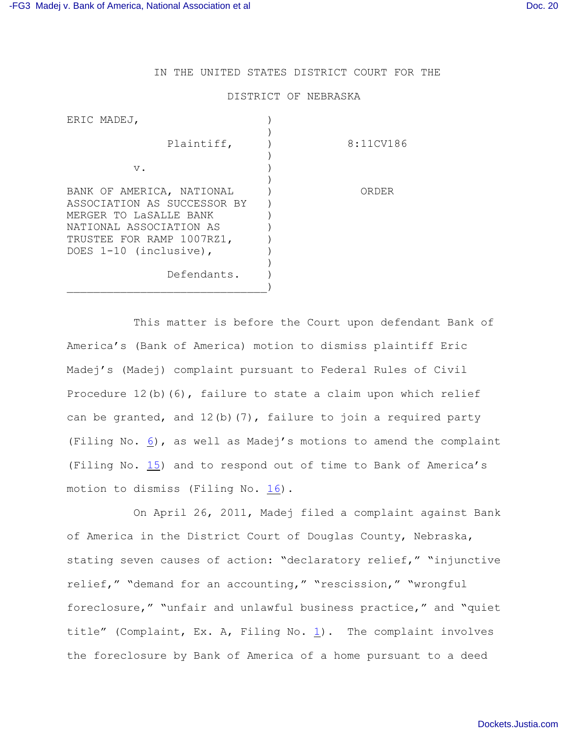## IN THE UNITED STATES DISTRICT COURT FOR THE

## DISTRICT OF NEBRASKA

| ERIC MADEJ,                                           |           |
|-------------------------------------------------------|-----------|
| Plaintiff,                                            | 8:11CV186 |
| $V$ .                                                 |           |
| BANK OF AMERICA, NATIONAL                             | ORDER     |
| ASSOCIATION AS SUCCESSOR BY<br>MERGER TO LASALLE BANK |           |
| NATIONAL ASSOCIATION AS<br>TRUSTEE FOR RAMP 1007RZ1,  |           |
| DOES 1-10 (inclusive),                                |           |
| Defendants.                                           |           |
|                                                       |           |

This matter is before the Court upon defendant Bank of America's (Bank of America) motion to dismiss plaintiff Eric Madej's (Madej) complaint pursuant to Federal Rules of Civil Procedure  $12(b)(6)$ , failure to state a claim upon which relief can be granted, and 12(b)(7), failure to join a required party (Filing No. [6](http://ecf.ned.uscourts.gov/doc1/11302287945)), as well as Madej's motions to amend the complaint (Filing No. [15](http://ecf.ned.uscourts.gov/doc1/11302320308)) and to respond out of time to Bank of America's motion to dismiss (Filing No.  $16$ ).

On April 26, 2011, Madej filed a complaint against Bank of America in the District Court of Douglas County, Nebraska, stating seven causes of action: "declaratory relief," "injunctive relief," "demand for an accounting," "rescission," "wrongful foreclosure," "unfair and unlawful business practice," and "quiet title" (Complaint, Ex. A, Filing No.  $\underline{1}$ ). The complaint involves the foreclosure by Bank of America of a home pursuant to a deed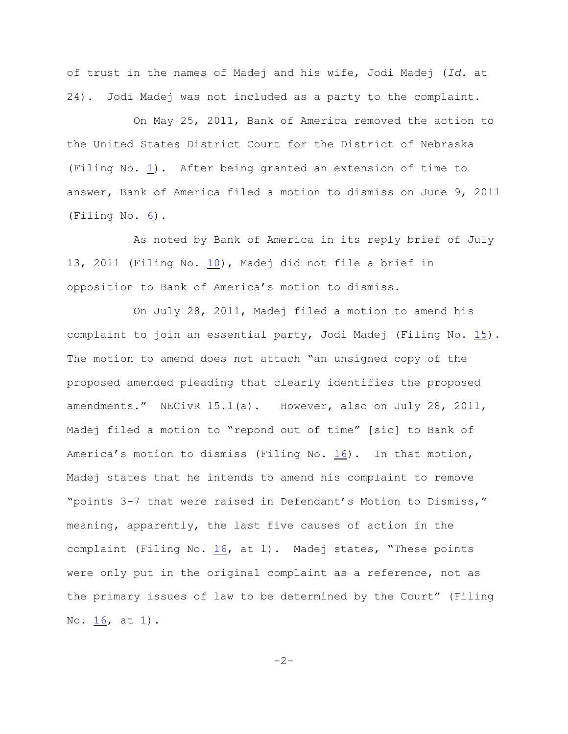of trust in the names of Madej and his wife, Jodi Madej (*Id.* at 24). Jodi Madej was not included as a party to the complaint.

On May 25, 2011, Bank of America removed the action to the United States District Court for the District of Nebraska (Filing No. [1](http://ecf.ned.uscourts.gov/doc1/11302276774)). After being granted an extension of time to answer, Bank of America filed a motion to dismiss on June 9, 2011 (Filing No. [6](http://ecf.ned.uscourts.gov/doc1/11302287945)).

As noted by Bank of America in its reply brief of July 13, 2011 (Filing No. [10](http://ecf.ned.uscourts.gov/doc1/11302308541)), Madej did not file a brief in opposition to Bank of America's motion to dismiss.

On July 28, 2011, Madej filed a motion to amend his complaint to join an essential party, Jodi Madej (Filing No. [15](http://ecf.ned.uscourts.gov/doc1/11302320308)). The motion to amend does not attach "an unsigned copy of the proposed amended pleading that clearly identifies the proposed amendments." NECivR 15.1(a). However, also on July 28, 2011, Madej filed a motion to "repond out of time" [sic] to Bank of America's motion to dismiss (Filing No. [16](http://ecf.ned.uscourts.gov/doc1/11302320311)). In that motion, Madej states that he intends to amend his complaint to remove "points 3-7 that were raised in Defendant's Motion to Dismiss," meaning, apparently, the last five causes of action in the complaint (Filing No. [16](http://ecf.ned.uscourts.gov/doc1/11302320311), at 1). Madej states, "These points were only put in the original complaint as a reference, not as the primary issues of law to be determined by the Court" (Filing No. [16](http://ecf.ned.uscourts.gov/doc1/11302320311), at 1).

-2-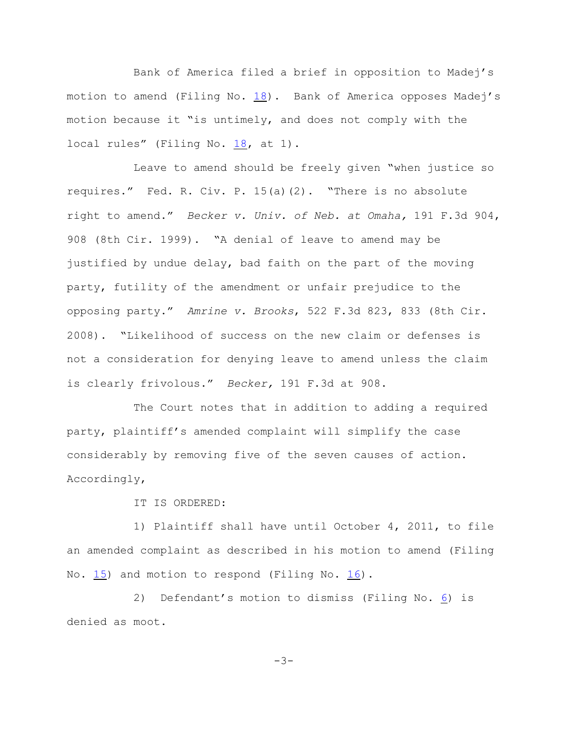Bank of America filed a brief in opposition to Madej's motion to amend (Filing No.  $18$ ). Bank of America opposes Madej's motion because it "is untimely, and does not comply with the local rules" (Filing No. [18](http://ecf.ned.uscourts.gov/doc1/11302322784), at 1).

Leave to amend should be freely given "when justice so requires." Fed. R. Civ. P. 15(a)(2). "There is no absolute right to amend." *Becker v. Univ. of Neb. at Omaha,* 191 F.3d 904, 908 (8th Cir. 1999). "A denial of leave to amend may be justified by undue delay, bad faith on the part of the moving party, futility of the amendment or unfair prejudice to the opposing party." *Amrine v. Brooks*, 522 F.3d 823, 833 (8th Cir. 2008). "Likelihood of success on the new claim or defenses is not a consideration for denying leave to amend unless the claim is clearly frivolous." *Becker,* 191 F.3d at 908.

The Court notes that in addition to adding a required party, plaintiff's amended complaint will simplify the case considerably by removing five of the seven causes of action. Accordingly,

IT IS ORDERED:

1) Plaintiff shall have until October 4, 2011, to file an amended complaint as described in his motion to amend (Filing No. [15](http://ecf.ned.uscourts.gov/doc1/11302320308)) and motion to respond (Filing No. [16](http://ecf.ned.uscourts.gov/doc1/11302320311)).

2) Defendant's motion to dismiss (Filing No. [6](http://ecf.ned.uscourts.gov/doc1/11302287945)) is denied as moot.

-3-